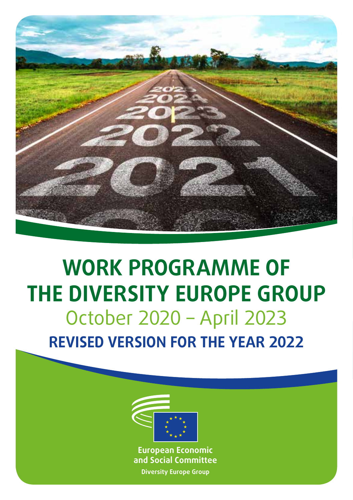

# **WORK PROGRAMME OF THE DIVERSITY EUROPE GROUP** October 2020 – April 2023 **REVISED VERSION FOR THE YEAR 2022**



**European Economic and Social Committee Diversity Europe Group**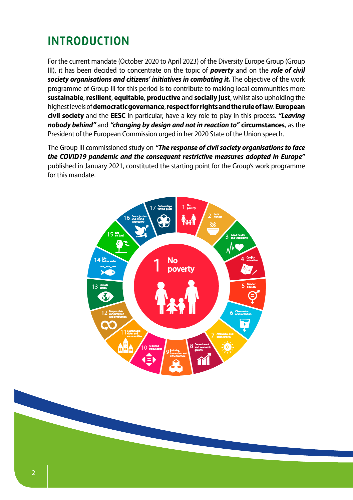# **INTRODUCTION**

For the current mandate (October 2020 to April 2023) of the Diversity Europe Group (Group III), it has been decided to concentrate on the topic of *poverty* and on the *role of civil society organisations and citizens' initiatives in combating it.* The objective of the work programme of Group III for this period is to contribute to making local communities more **sustainable**, **resilient**, **equitable**, **productive** and **socially just**, whilst also upholding the highest levels of **democratic governance**, **respect for rights and the rule of law**. **European civil society** and the **EESC** in particular, have a key role to play in this process. *"Leaving nobody behind"* and *"changing by design and not in reaction to"* **circumstances**, as the President of the European Commission urged in her 2020 State of the Union speech.

The Group III commissioned study on *"The response of civil society organisations to face the COVID19 pandemic and the consequent restrictive measures adopted in Europe"* published in January 2021, constituted the starting point for the Group's work programme for this mandate.



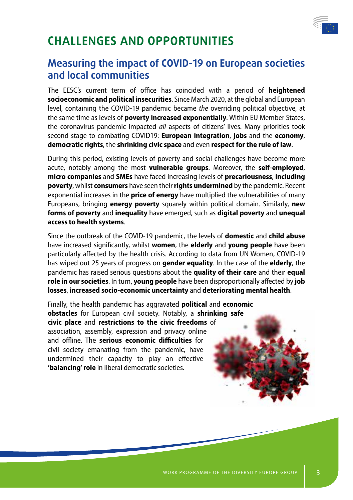

# **CHALLENGES AND OPPORTUNITIES**

## **Measuring the impact of COVID-19 on European societies and local communities**

The EESC's current term of office has coincided with a period of **heightened socioeconomic and political insecurities**. Since March 2020, at the global and European level, containing the COVID-19 pandemic became *the* overriding political objective, at the same time as levels of **poverty increased exponentially**. Within EU Member States, the coronavirus pandemic impacted *all* aspects of citizens' lives. Many priorities took second stage to combating COVID19: **European integration**, **jobs** and the **economy**, **democratic rights**, the **shrinking civic space** and even **respect for the rule of law**.

During this period, existing levels of poverty and social challenges have become more acute, notably among the most **vulnerable groups**. Moreover, the **self-employed**, **micro companies** and **SMEs** have faced increasing levels of **precariousness**, **including poverty**, whilst **consumers** have seen their **rights undermined** by the pandemic. Recent exponential increases in the **price of energy** have multiplied the vulnerabilities of many Europeans, bringing **energy poverty** squarely within political domain. Similarly, **new forms of poverty** and **inequality** have emerged, such as **digital poverty** and **unequal access to health systems**.

Since the outbreak of the COVID-19 pandemic, the levels of **domestic** and **child abuse** have increased significantly, whilst **women**, the **elderly** and **young people** have been particularly affected by the health crisis. According to data from UN Women, COVID-19 has wiped out 25 years of progress on **gender equality**. In the case of the **elderly**, the pandemic has raised serious questions about the **quality of their care** and their **equal role in our societies**. In turn, **young people** have been disproportionally affected by **job losses**, **increased socio-economic uncertainty** and **deteriorating mental health**.

Finally, the health pandemic has aggravated **political** and **economic obstacles** for European civil society. Notably, a **shrinking safe civic place** and **restrictions to the civic freedoms** of association, assembly, expression and privacy online and offline. The **serious economic difficulties** for civil society emanating from the pandemic, have undermined their capacity to play an effective **'balancing' role** in liberal democratic societies.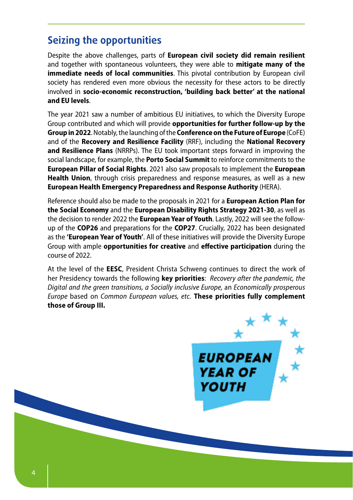## **Seizing the opportunities**

Despite the above challenges, parts of **European civil society did remain resilient** and together with spontaneous volunteers, they were able to **mitigate many of the immediate needs of local communities**. This pivotal contribution by European civil society has rendered even more obvious the necessity for these actors to be directly involved in **socio-economic reconstruction, 'building back better' at the national and EU levels**.

The year 2021 saw a number of ambitious EU initiatives, to which the Diversity Europe Group contributed and which will provide **opportunities for further follow-up by the Group in 2022**. Notably, the launching of the **Conference on the Future of Europe** (CoFE) and of the **Recovery and Resilience Facility** (RRF), including the **National Recovery and Resilience Plans** (NRRPs). The EU took important steps forward in improving the social landscape, for example, the **Porto Social Summit** to reinforce commitments to the **European Pillar of Social Rights**. 2021 also saw proposals to implement the **European Health Union**, through crisis preparedness and response measures, as well as a new **European Health Emergency Preparedness and Response Authority** (HERA).

Reference should also be made to the proposals in 2021 for a **European Action Plan for the Social Economy** and the **European Disability Rights Strategy 2021-30**, as well as the decision to render 2022 the **European Year of Youth**. Lastly, 2022 will see the followup of the **COP26** and preparations for the **COP27**. Crucially, 2022 has been designated as the **'European Year of Youth'**. All of these initiatives will provide the Diversity Europe Group with ample **opportunities for creative** and **effective participation** during the course of 2022.

At the level of the **EESC**, President Christa Schweng continues to direct the work of her Presidency towards the following **key priorities**: *Recovery after the pandemic, the Digital and the green transitions, a Socially inclusive Europe,* an *Economically prosperous Europe* based on *Common European values, etc.* **These priorities fully complement those of Group III.**

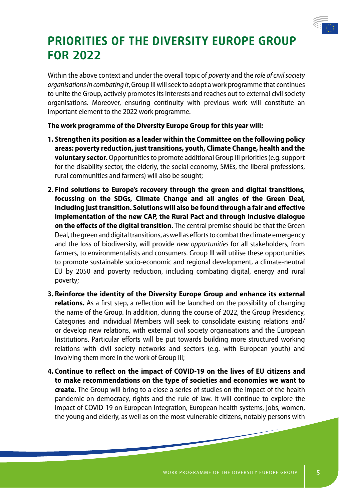

# **PRIORITIES OF THE DIVERSITY EUROPE GROUP FOR 2022**

Within the above context and under the overall topic of *poverty* and the *role of civil society organisations in combating it*, Group III will seek to adopt a work programme that continues to unite the Group, actively promotes its interests and reaches out to external civil society organisations. Moreover, ensuring continuity with previous work will constitute an important element to the 2022 work programme.

**The work programme of the Diversity Europe Group for this year will:**

- **1. Strengthen its position as a leader within the Committee on the following policy areas: poverty reduction, just transitions, youth, Climate Change, health and the voluntary sector.** Opportunities to promote additional Group III priorities (e.g. support for the disability sector, the elderly, the social economy, SMEs, the liberal professions, rural communities and farmers) will also be sought;
- **2. Find solutions to Europe's recovery through the green and digital transitions, focussing on the SDGs, Climate Change and all angles of the Green Deal, including just transition. Solutions will also be found through a fair and effective implementation of the new CAP, the Rural Pact and through inclusive dialogue on the effects of the digital transition.** The central premise should be that the Green Deal, the green and digital transitions, as well as efforts to combat the climate emergency and the loss of biodiversity, will provide *new opportunities* for all stakeholders, from farmers, to environmentalists and consumers. Group III will utilise these opportunities to promote sustainable socio-economic and regional development, a climate-neutral EU by 2050 and poverty reduction, including combating digital, energy and rural poverty;
- **3. Reinforce the identity of the Diversity Europe Group and enhance its external relations.** As a first step, a reflection will be launched on the possibility of changing the name of the Group. In addition, during the course of 2022, the Group Presidency, Categories and individual Members will seek to consolidate existing relations and/ or develop new relations, with external civil society organisations and the European Institutions. Particular efforts will be put towards building more structured working relations with civil society networks and sectors (e.g. with European youth) and involving them more in the work of Group III;
- **4. Continue to reflect on the impact of COVID-19 on the lives of EU citizens and to make recommendations on the type of societies and economies we want to create.** The Group will bring to a close a series of studies on the impact of the health pandemic on democracy, rights and the rule of law. It will continue to explore the impact of COVID-19 on European integration, European health systems, jobs, women, the young and elderly, as well as on the most vulnerable citizens, notably persons with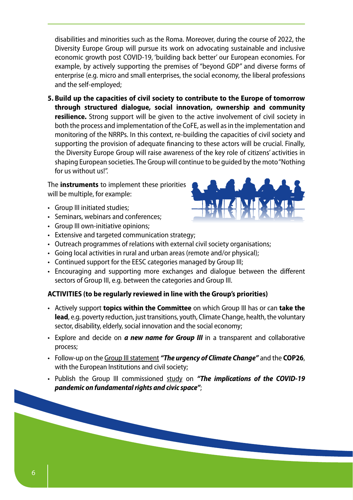disabilities and minorities such as the Roma. Moreover, during the course of 2022, the Diversity Europe Group will pursue its work on advocating sustainable and inclusive economic growth post COVID-19, 'building back better' our European economies. For example, by actively supporting the premises of "beyond GDP" and diverse forms of enterprise (e.g. micro and small enterprises, the social economy, the liberal professions and the self-employed;

**5. Build up the capacities of civil society to contribute to the Europe of tomorrow through structured dialogue, social innovation, ownership and community resilience.** Strong support will be given to the active involvement of civil society in both the process and implementation of the CoFE, as well as in the implementation and monitoring of the NRRPs. In this context, re-building the capacities of civil society and supporting the provision of adequate financing to these actors will be crucial. Finally, the Diversity Europe Group will raise awareness of the key role of citizens' activities in shaping European societies. The Group will continue to be guided by the moto "Nothing for us without us!".

The **instruments** to implement these priorities will be multiple, for example:

- Group III initiated studies;
- Seminars, webinars and conferences;
- Group III own-initiative opinions;
- Extensive and targeted communication strategy;
- Outreach programmes of relations with external civil society organisations;
- Going local activities in rural and urban areas (remote and/or physical);
- Continued support for the EESC categories managed by Group III;
- Encouraging and supporting more exchanges and dialogue between the different sectors of Group III, e.g. between the categories and Group III.

#### **ACTIVITIES (to be regularly reviewed in line with the Group's priorities)**

- Actively support **topics within the Committee** on which Group III has or can **take the lead**, e.g. poverty reduction, just transitions, youth, Climate Change, health, the voluntary sector, disability, elderly, social innovation and the social economy;
- Explore and decide on *a new name for Group III* in a transparent and collaborative process;
- Follow-up on the Group III statement *"The urgency of Climate Change"* and the **COP26**, with the European Institutions and civil society;
- Publish the Group III commissioned study on *"The implications of the COVID-19 pandemic on fundamental rights and civic space"*;

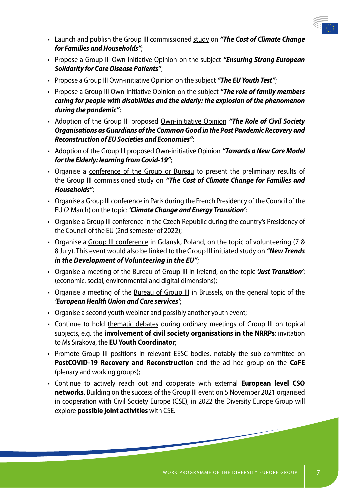

- Launch and publish the Group III commissioned study on *"The Cost of Climate Change for Families and Households"*;
- Propose a Group III Own-initiative Opinion on the subject *"Ensuring Strong European Solidarity for Care Disease Patients"*;
- Propose a Group III Own-initiative Opinion on the subject *"The EU Youth Test"*;
- Propose a Group III Own-initiative Opinion on the subject *"The role of family members caring for people with disabilities and the elderly: the explosion of the phenomenon during the pandemic"*;
- Adoption of the Group III proposed Own-initiative Opinion *"The Role of Civil Society Organisations as Guardians of the Common Good in the Post Pandemic Recovery and Reconstruction of EU Societies and Economies"*;
- Adoption of the Group III proposed Own-initiative Opinion *"Towards a New Care Model for the Elderly: learning from Covid-19"*;
- Organise a conference of the Group or Bureau to present the preliminary results of the Group III commissioned study on *"The Cost of Climate Change for Families and Households"*;
- Organise a Group III conference in Paris during the French Presidency of the Council of the EU (2 March) on the topic: *'Climate Change and Energy Transition'*;
- Organise a Group III conference in the Czech Republic during the country's Presidency of the Council of the EU (2nd semester of 2022);
- Organise a Group III conference in Gdansk, Poland, on the topic of volunteering (7 & 8 July). This event would also be linked to the Group III initiated study on *"New Trends in the Development of Volunteering in the EU"*;
- Organise a meeting of the Bureau of Group III in Ireland, on the topic *'Just Transition'*; (economic, social, environmental and digital dimensions);
- Organise a meeting of the Bureau of Group III in Brussels, on the general topic of the *'European Health Union and Care services'*;
- Organise a second youth webinar and possibly another youth event;
- Continue to hold thematic debates during ordinary meetings of Group III on topical subjects, e.g. the **involvement of civil society organisations in the NRRPs**; invitation to Ms Sirakova, the **EU Youth Coordinator**;
- Promote Group III positions in relevant EESC bodies, notably the sub-committee on **PostCOVID-19 Recovery and Reconstruction** and the ad hoc group on the **CoFE** (plenary and working groups);
- Continue to actively reach out and cooperate with external **European level CSO networks**. Building on the success of the Group III event on 5 November 2021 organised in cooperation with Civil Society Europe (CSE), in 2022 the Diversity Europe Group will explore **possible joint activities** with CSE.